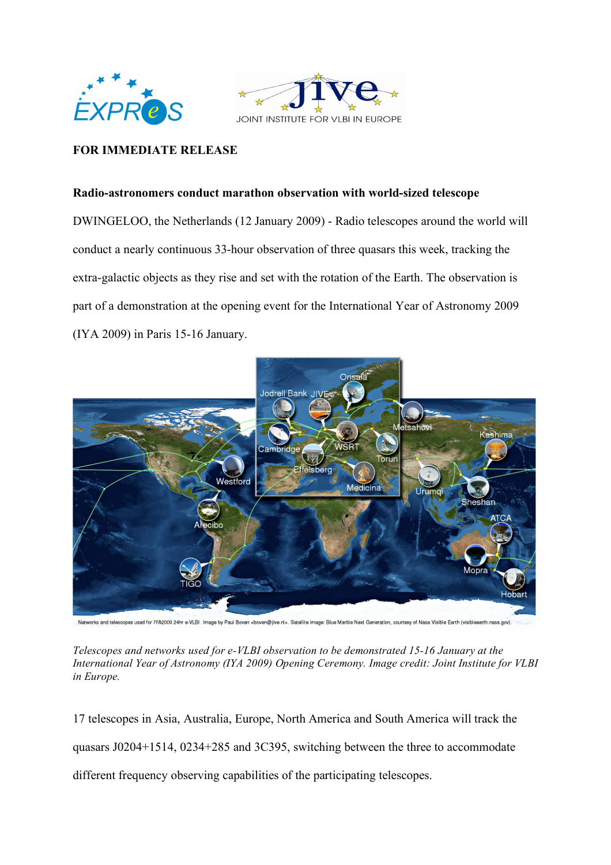



# **FOR IMMEDIATE RELEASE**

### **Radio-astronomers conduct marathon observation with world-sized telescope**

DWINGELOO, the Netherlands (12 January 2009) - Radio telescopes around the world will conduct a nearly continuous 33-hour observation of three quasars this week, tracking the extra-galactic objects as they rise and set with the rotation of the Earth. The observation is part of a demonstration at the opening event for the International Year of Astronomy 2009 (IYA 2009) in Paris 15-16 January.



Networks and telescopes used for IYA2009 24hr e-VLBI. Image by Paul Boven «boven@jive.rl». Satellite image: Blue Martle Next Generation, courtesy of Nasa Visible Earth (visibleearth.nasa.gov).

*Telescopes and networks used for e-VLBI observation to be demonstrated 15-16 January at the International Year of Astronomy (IYA 2009) Opening Ceremony. Image credit: Joint Institute for VLBI in Europe.*

17 telescopes in Asia, Australia, Europe, North America and South America will track the quasars J0204+1514, 0234+285 and 3C395, switching between the three to accommodate different frequency observing capabilities of the participating telescopes.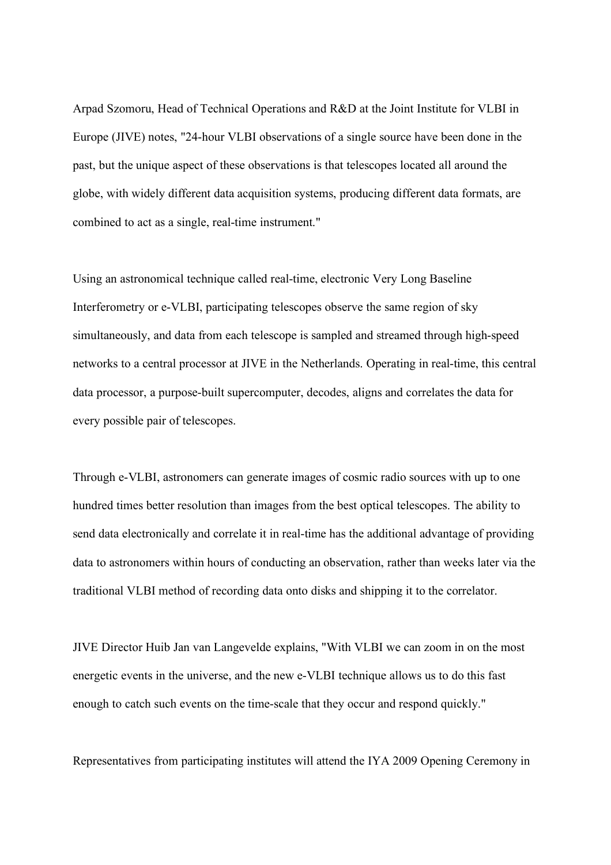Arpad Szomoru, Head of Technical Operations and R&D at the Joint Institute for VLBI in Europe (JIVE) notes, "24-hour VLBI observations of a single source have been done in the past, but the unique aspect of these observations is that telescopes located all around the globe, with widely different data acquisition systems, producing different data formats, are combined to act as a single, real-time instrument."

Using an astronomical technique called real-time, electronic Very Long Baseline Interferometry or e-VLBI, participating telescopes observe the same region of sky simultaneously, and data from each telescope is sampled and streamed through high-speed networks to a central processor at JIVE in the Netherlands. Operating in real-time, this central data processor, a purpose-built supercomputer, decodes, aligns and correlates the data for every possible pair of telescopes.

Through e-VLBI, astronomers can generate images of cosmic radio sources with up to one hundred times better resolution than images from the best optical telescopes. The ability to send data electronically and correlate it in real-time has the additional advantage of providing data to astronomers within hours of conducting an observation, rather than weeks later via the traditional VLBI method of recording data onto disks and shipping it to the correlator.

JIVE Director Huib Jan van Langevelde explains, "With VLBI we can zoom in on the most energetic events in the universe, and the new e-VLBI technique allows us to do this fast enough to catch such events on the time-scale that they occur and respond quickly."

Representatives from participating institutes will attend the IYA 2009 Opening Ceremony in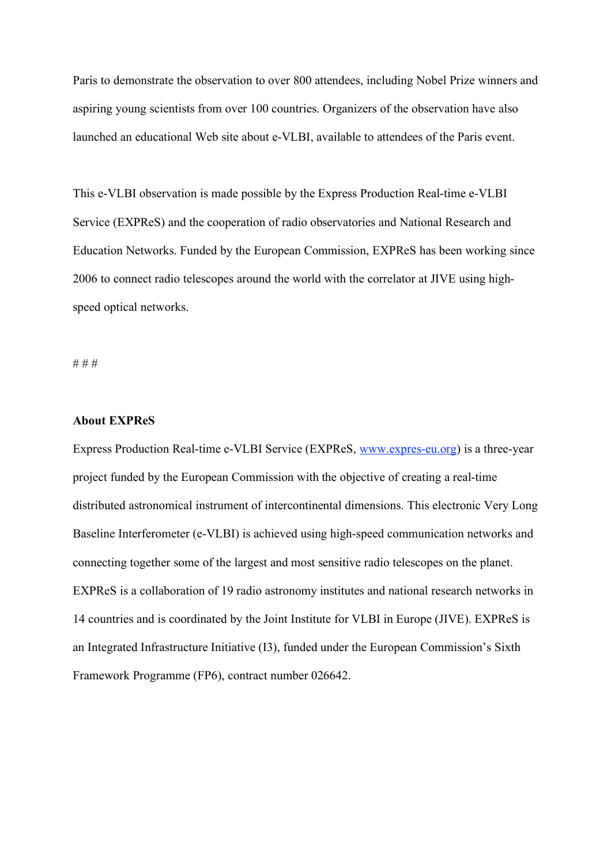Paris to demonstrate the observation to over 800 attendees, including Nobel Prize winners and aspiring young scientists from over 100 countries. Organizers of the observation have also launched an educational Web site about e-VLBI, available to attendees of the Paris event.

This e-VLBI observation is made possible by the Express Production Real-time e-VLBI Service (EXPReS) and the cooperation of radio observatories and National Research and Education Networks. Funded by the European Commission, EXPReS has been working since 2006 to connect radio telescopes around the world with the correlator at JIVE using highspeed optical networks.

# # #

#### **About EXPReS**

Express Production Real-time e-VLBI Service (EXPReS, www.expres-eu.org) is a three-year project funded by the European Commission with the objective of creating a real-time distributed astronomical instrument of intercontinental dimensions. This electronic Very Long Baseline Interferometer (e-VLBI) is achieved using high-speed communication networks and connecting together some of the largest and most sensitive radio telescopes on the planet. EXPReS is a collaboration of 19 radio astronomy institutes and national research networks in 14 countries and is coordinated by the Joint Institute for VLBI in Europe (JIVE). EXPReS is an Integrated Infrastructure Initiative (I3), funded under the European Commission's Sixth Framework Programme (FP6), contract number 026642.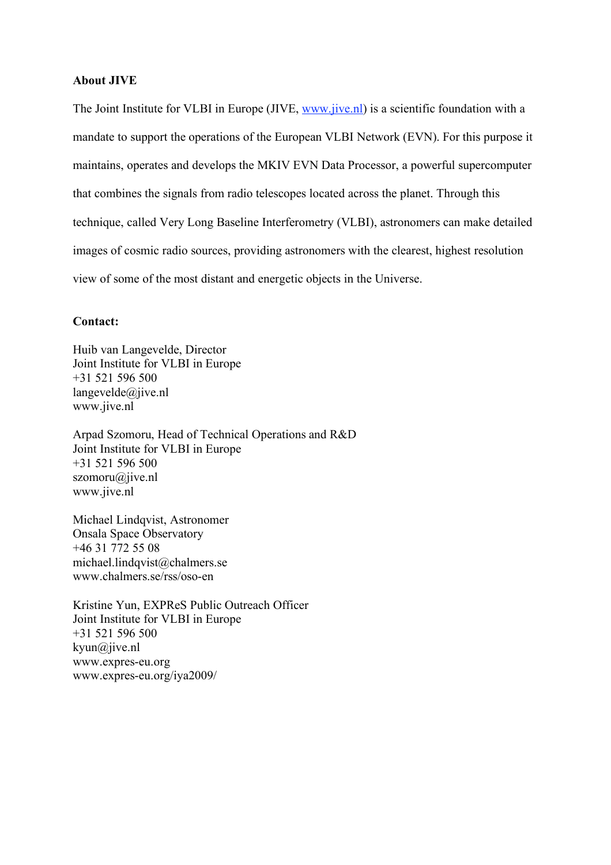#### **About JIVE**

The Joint Institute for VLBI in Europe (JIVE, www.jive.nl) is a scientific foundation with a mandate to support the operations of the European VLBI Network (EVN). For this purpose it maintains, operates and develops the MKIV EVN Data Processor, a powerful supercomputer that combines the signals from radio telescopes located across the planet. Through this technique, called Very Long Baseline Interferometry (VLBI), astronomers can make detailed images of cosmic radio sources, providing astronomers with the clearest, highest resolution view of some of the most distant and energetic objects in the Universe.

## **Contact:**

Huib van Langevelde, Director Joint Institute for VLBI in Europe +31 521 596 500 langevelde@jive.nl www.jive.nl

Arpad Szomoru, Head of Technical Operations and R&D Joint Institute for VLBI in Europe +31 521 596 500 szomoru@jive.nl www.jive.nl

Michael Lindqvist, Astronomer Onsala Space Observatory +46 31 772 55 08 michael.lindqvist@chalmers.se www.chalmers.se/rss/oso-en

Kristine Yun, EXPReS Public Outreach Officer Joint Institute for VLBI in Europe +31 521 596 500 kyun@jive.nl www.expres-eu.org www.expres-eu.org/iya2009/